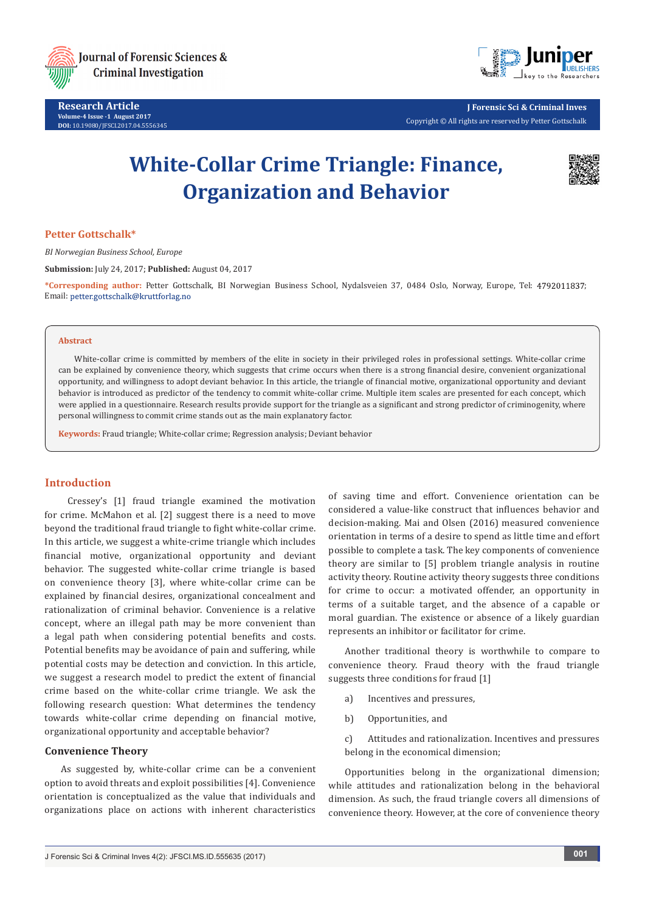

**Research Article Volume-4 Issue -1 August 2017 DOI:** [10.19080/JFSCI.2017.04.555634](http://dx.doi.org/10.19080/JFSCI.2017.04.555635)5



**J Forensic Sci & Criminal Inves** Copyright © All rights are reserved by Petter Gottschalk

# **White-Collar Crime Triangle: Finance, Organization and Behavior**



# **Petter Gottschalk\***

*BI Norwegian Business School, Europe*

**Submission:** July 24, 2017; **Published:** August 04, 2017

**\*Corresponding author:** Petter Gottschalk, BI Norwegian Business School, Nydalsveien 37, 0484 Oslo, Norway, Europe, Tel: ; Email: petter.gottschalk@kruttforlag.no

#### **Abstract**

White-collar crime is committed by members of the elite in society in their privileged roles in professional settings. White-collar crime can be explained by convenience theory, which suggests that crime occurs when there is a strong financial desire, convenient organizational opportunity, and willingness to adopt deviant behavior. In this article, the triangle of financial motive, organizational opportunity and deviant behavior is introduced as predictor of the tendency to commit white-collar crime. Multiple item scales are presented for each concept, which were applied in a questionnaire. Research results provide support for the triangle as a significant and strong predictor of criminogenity, where personal willingness to commit crime stands out as the main explanatory factor.

**Keywords:** Fraud triangle; White-collar crime; Regression analysis; Deviant behavior

#### **Introduction**

 Cressey's [1] fraud triangle examined the motivation for crime. McMahon et al. [2] suggest there is a need to move beyond the traditional fraud triangle to fight white-collar crime. In this article, we suggest a white-crime triangle which includes financial motive, organizational opportunity and deviant behavior. The suggested white-collar crime triangle is based on convenience theory [3], where white-collar crime can be explained by financial desires, organizational concealment and rationalization of criminal behavior. Convenience is a relative concept, where an illegal path may be more convenient than a legal path when considering potential benefits and costs. Potential benefits may be avoidance of pain and suffering, while potential costs may be detection and conviction. In this article, we suggest a research model to predict the extent of financial crime based on the white-collar crime triangle. We ask the following research question: What determines the tendency towards white-collar crime depending on financial motive, organizational opportunity and acceptable behavior?

# **Convenience Theory**

As suggested by, white-collar crime can be a convenient option to avoid threats and exploit possibilities [4]. Convenience orientation is conceptualized as the value that individuals and organizations place on actions with inherent characteristics

of saving time and effort. Convenience orientation can be considered a value-like construct that influences behavior and decision-making. Mai and Olsen (2016) measured convenience orientation in terms of a desire to spend as little time and effort possible to complete a task. The key components of convenience theory are similar to [5] problem triangle analysis in routine activity theory. Routine activity theory suggests three conditions for crime to occur: a motivated offender, an opportunity in terms of a suitable target, and the absence of a capable or moral guardian. The existence or absence of a likely guardian represents an inhibitor or facilitator for crime.

Another traditional theory is worthwhile to compare to convenience theory. Fraud theory with the fraud triangle suggests three conditions for fraud [1]

- a) Incentives and pressures,
- b) Opportunities, and

c) Attitudes and rationalization. Incentives and pressures belong in the economical dimension;

Opportunities belong in the organizational dimension; while attitudes and rationalization belong in the behavioral dimension. As such, the fraud triangle covers all dimensions of convenience theory. However, at the core of convenience theory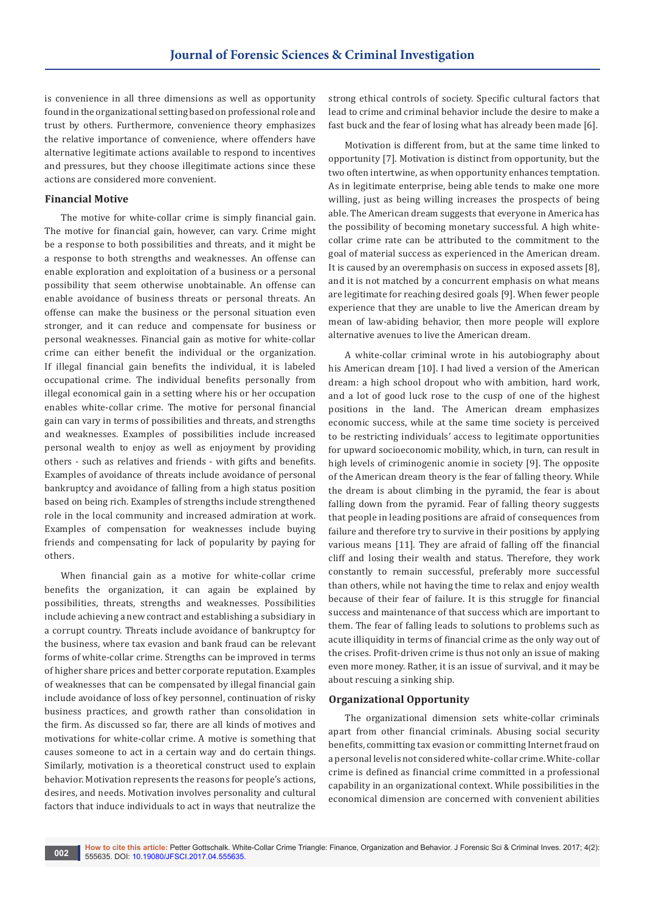is convenience in all three dimensions as well as opportunity found in the organizational setting based on professional role and trust by others. Furthermore, convenience theory emphasizes the relative importance of convenience, where offenders have alternative legitimate actions available to respond to incentives and pressures, but they choose illegitimate actions since these actions are considered more convenient.

#### **Financial Motive**

The motive for white-collar crime is simply financial gain. The motive for financial gain, however, can vary. Crime might be a response to both possibilities and threats, and it might be a response to both strengths and weaknesses. An offense can enable exploration and exploitation of a business or a personal possibility that seem otherwise unobtainable. An offense can enable avoidance of business threats or personal threats. An offense can make the business or the personal situation even stronger, and it can reduce and compensate for business or personal weaknesses. Financial gain as motive for white-collar crime can either benefit the individual or the organization. If illegal financial gain benefits the individual, it is labeled occupational crime. The individual benefits personally from illegal economical gain in a setting where his or her occupation enables white-collar crime. The motive for personal financial gain can vary in terms of possibilities and threats, and strengths and weaknesses. Examples of possibilities include increased personal wealth to enjoy as well as enjoyment by providing others - such as relatives and friends - with gifts and benefits. Examples of avoidance of threats include avoidance of personal bankruptcy and avoidance of falling from a high status position based on being rich. Examples of strengths include strengthened role in the local community and increased admiration at work. Examples of compensation for weaknesses include buying friends and compensating for lack of popularity by paying for others.

When financial gain as a motive for white-collar crime benefits the organization, it can again be explained by possibilities, threats, strengths and weaknesses. Possibilities include achieving a new contract and establishing a subsidiary in a corrupt country. Threats include avoidance of bankruptcy for the business, where tax evasion and bank fraud can be relevant forms of white-collar crime. Strengths can be improved in terms of higher share prices and better corporate reputation. Examples of weaknesses that can be compensated by illegal financial gain include avoidance of loss of key personnel, continuation of risky business practices, and growth rather than consolidation in the firm. As discussed so far, there are all kinds of motives and motivations for white-collar crime. A motive is something that causes someone to act in a certain way and do certain things. Similarly, motivation is a theoretical construct used to explain behavior. Motivation represents the reasons for people's actions, desires, and needs. Motivation involves personality and cultural factors that induce individuals to act in ways that neutralize the

strong ethical controls of society. Specific cultural factors that lead to crime and criminal behavior include the desire to make a fast buck and the fear of losing what has already been made [6].

Motivation is different from, but at the same time linked to opportunity [7]. Motivation is distinct from opportunity, but the two often intertwine, as when opportunity enhances temptation. As in legitimate enterprise, being able tends to make one more willing, just as being willing increases the prospects of being able. The American dream suggests that everyone in America has the possibility of becoming monetary successful. A high whitecollar crime rate can be attributed to the commitment to the goal of material success as experienced in the American dream. It is caused by an overemphasis on success in exposed assets [8], and it is not matched by a concurrent emphasis on what means are legitimate for reaching desired goals [9]. When fewer people experience that they are unable to live the American dream by mean of law-abiding behavior, then more people will explore alternative avenues to live the American dream.

A white-collar criminal wrote in his autobiography about his American dream [10]. I had lived a version of the American dream: a high school dropout who with ambition, hard work, and a lot of good luck rose to the cusp of one of the highest positions in the land. The American dream emphasizes economic success, while at the same time society is perceived to be restricting individuals' access to legitimate opportunities for upward socioeconomic mobility, which, in turn, can result in high levels of criminogenic anomie in society [9]. The opposite of the American dream theory is the fear of falling theory. While the dream is about climbing in the pyramid, the fear is about falling down from the pyramid. Fear of falling theory suggests that people in leading positions are afraid of consequences from failure and therefore try to survive in their positions by applying various means [11]. They are afraid of falling off the financial cliff and losing their wealth and status. Therefore, they work constantly to remain successful, preferably more successful than others, while not having the time to relax and enjoy wealth because of their fear of failure. It is this struggle for financial success and maintenance of that success which are important to them. The fear of falling leads to solutions to problems such as acute illiquidity in terms of financial crime as the only way out of the crises. Profit-driven crime is thus not only an issue of making even more money. Rather, it is an issue of survival, and it may be about rescuing a sinking ship.

#### **Organizational Opportunity**

The organizational dimension sets white-collar criminals apart from other financial criminals. Abusing social security benefits, committing tax evasion or committing Internet fraud on a personal level is not considered white-collar crime. White-collar crime is defined as financial crime committed in a professional capability in an organizational context. While possibilities in the economical dimension are concerned with convenient abilities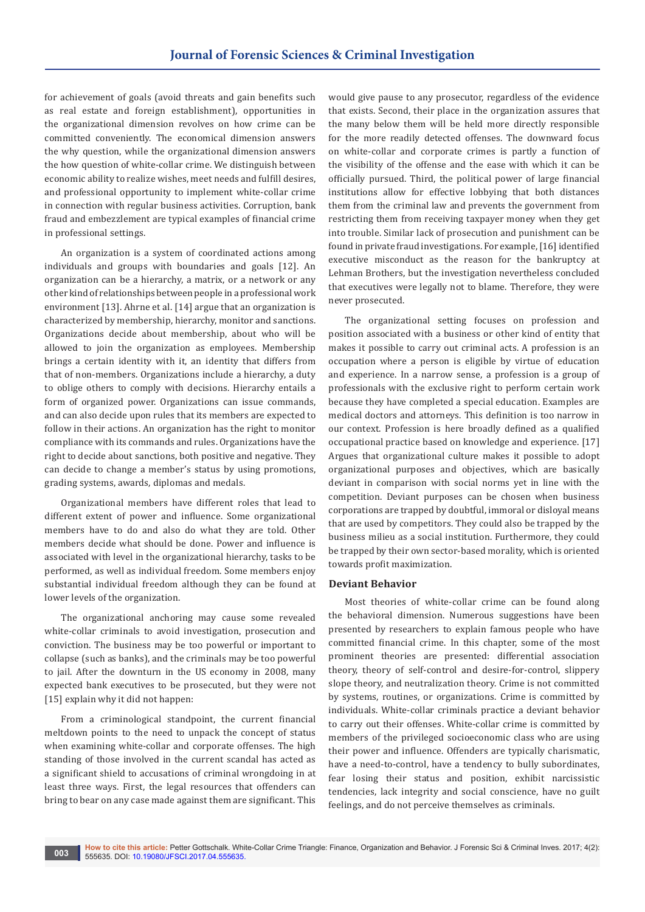for achievement of goals (avoid threats and gain benefits such as real estate and foreign establishment), opportunities in the organizational dimension revolves on how crime can be committed conveniently. The economical dimension answers the why question, while the organizational dimension answers the how question of white-collar crime. We distinguish between economic ability to realize wishes, meet needs and fulfill desires, and professional opportunity to implement white-collar crime in connection with regular business activities. Corruption, bank fraud and embezzlement are typical examples of financial crime in professional settings.

An organization is a system of coordinated actions among individuals and groups with boundaries and goals [12]. An organization can be a hierarchy, a matrix, or a network or any other kind of relationships between people in a professional work environment [13]. Ahrne et al. [14] argue that an organization is characterized by membership, hierarchy, monitor and sanctions. Organizations decide about membership, about who will be allowed to join the organization as employees. Membership brings a certain identity with it, an identity that differs from that of non-members. Organizations include a hierarchy, a duty to oblige others to comply with decisions. Hierarchy entails a form of organized power. Organizations can issue commands, and can also decide upon rules that its members are expected to follow in their actions. An organization has the right to monitor compliance with its commands and rules. Organizations have the right to decide about sanctions, both positive and negative. They can decide to change a member's status by using promotions, grading systems, awards, diplomas and medals.

Organizational members have different roles that lead to different extent of power and influence. Some organizational members have to do and also do what they are told. Other members decide what should be done. Power and influence is associated with level in the organizational hierarchy, tasks to be performed, as well as individual freedom. Some members enjoy substantial individual freedom although they can be found at lower levels of the organization.

The organizational anchoring may cause some revealed white-collar criminals to avoid investigation, prosecution and conviction. The business may be too powerful or important to collapse (such as banks), and the criminals may be too powerful to jail. After the downturn in the US economy in 2008, many expected bank executives to be prosecuted, but they were not [15] explain why it did not happen:

From a criminological standpoint, the current financial meltdown points to the need to unpack the concept of status when examining white-collar and corporate offenses. The high standing of those involved in the current scandal has acted as a significant shield to accusations of criminal wrongdoing in at least three ways. First, the legal resources that offenders can bring to bear on any case made against them are significant. This

would give pause to any prosecutor, regardless of the evidence that exists. Second, their place in the organization assures that the many below them will be held more directly responsible for the more readily detected offenses. The downward focus on white-collar and corporate crimes is partly a function of the visibility of the offense and the ease with which it can be officially pursued. Third, the political power of large financial institutions allow for effective lobbying that both distances them from the criminal law and prevents the government from restricting them from receiving taxpayer money when they get into trouble. Similar lack of prosecution and punishment can be found in private fraud investigations. For example, [16] identified executive misconduct as the reason for the bankruptcy at Lehman Brothers, but the investigation nevertheless concluded that executives were legally not to blame. Therefore, they were never prosecuted.

The organizational setting focuses on profession and position associated with a business or other kind of entity that makes it possible to carry out criminal acts. A profession is an occupation where a person is eligible by virtue of education and experience. In a narrow sense, a profession is a group of professionals with the exclusive right to perform certain work because they have completed a special education. Examples are medical doctors and attorneys. This definition is too narrow in our context. Profession is here broadly defined as a qualified occupational practice based on knowledge and experience. [17] Argues that organizational culture makes it possible to adopt organizational purposes and objectives, which are basically deviant in comparison with social norms yet in line with the competition. Deviant purposes can be chosen when business corporations are trapped by doubtful, immoral or disloyal means that are used by competitors. They could also be trapped by the business milieu as a social institution. Furthermore, they could be trapped by their own sector-based morality, which is oriented towards profit maximization.

#### **Deviant Behavior**

Most theories of white-collar crime can be found along the behavioral dimension. Numerous suggestions have been presented by researchers to explain famous people who have committed financial crime. In this chapter, some of the most prominent theories are presented: differential association theory, theory of self-control and desire-for-control, slippery slope theory, and neutralization theory. Crime is not committed by systems, routines, or organizations. Crime is committed by individuals. White-collar criminals practice a deviant behavior to carry out their offenses. White-collar crime is committed by members of the privileged socioeconomic class who are using their power and influence. Offenders are typically charismatic, have a need-to-control, have a tendency to bully subordinates, fear losing their status and position, exhibit narcissistic tendencies, lack integrity and social conscience, have no guilt feelings, and do not perceive themselves as criminals.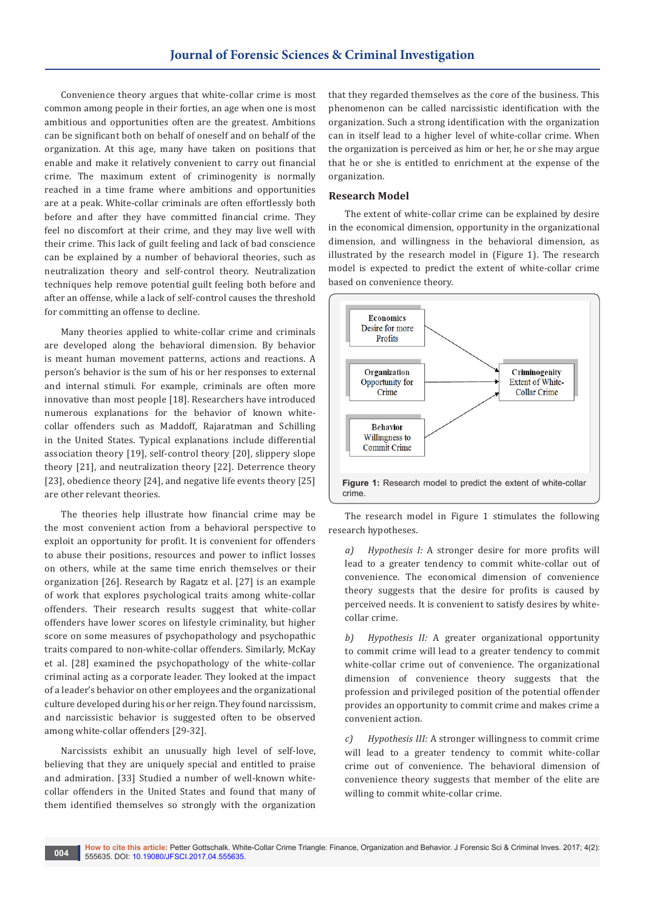Convenience theory argues that white-collar crime is most common among people in their forties, an age when one is most ambitious and opportunities often are the greatest. Ambitions can be significant both on behalf of oneself and on behalf of the organization. At this age, many have taken on positions that enable and make it relatively convenient to carry out financial crime. The maximum extent of criminogenity is normally reached in a time frame where ambitions and opportunities are at a peak. White-collar criminals are often effortlessly both before and after they have committed financial crime. They feel no discomfort at their crime, and they may live well with their crime. This lack of guilt feeling and lack of bad conscience can be explained by a number of behavioral theories, such as neutralization theory and self-control theory. Neutralization techniques help remove potential guilt feeling both before and after an offense, while a lack of self-control causes the threshold for committing an offense to decline.

Many theories applied to white-collar crime and criminals are developed along the behavioral dimension. By behavior is meant human movement patterns, actions and reactions. A person's behavior is the sum of his or her responses to external and internal stimuli. For example, criminals are often more innovative than most people [18]. Researchers have introduced numerous explanations for the behavior of known whitecollar offenders such as Maddoff, Rajaratman and Schilling in the United States. Typical explanations include differential association theory [19], self-control theory [20], slippery slope theory [21], and neutralization theory [22]. Deterrence theory [23], obedience theory [24], and negative life events theory [25] are other relevant theories.

The theories help illustrate how financial crime may be the most convenient action from a behavioral perspective to exploit an opportunity for profit. It is convenient for offenders to abuse their positions, resources and power to inflict losses on others, while at the same time enrich themselves or their organization [26]. Research by Ragatz et al. [27] is an example of work that explores psychological traits among white-collar offenders. Their research results suggest that white-collar offenders have lower scores on lifestyle criminality, but higher score on some measures of psychopathology and psychopathic traits compared to non-white-collar offenders. Similarly, McKay et al. [28] examined the psychopathology of the white-collar criminal acting as a corporate leader. They looked at the impact of a leader's behavior on other employees and the organizational culture developed during his or her reign. They found narcissism, and narcissistic behavior is suggested often to be observed among white-collar offenders [29-32].

Narcissists exhibit an unusually high level of self-love, believing that they are uniquely special and entitled to praise and admiration. [33] Studied a number of well-known whitecollar offenders in the United States and found that many of them identified themselves so strongly with the organization

that they regarded themselves as the core of the business. This phenomenon can be called narcissistic identification with the organization. Such a strong identification with the organization can in itself lead to a higher level of white-collar crime. When the organization is perceived as him or her, he or she may argue that he or she is entitled to enrichment at the expense of the organization.

#### **Research Model**

The extent of white-collar crime can be explained by desire in the economical dimension, opportunity in the organizational dimension, and willingness in the behavioral dimension, as illustrated by the research model in (Figure 1). The research model is expected to predict the extent of white-collar crime based on convenience theory.



The research model in Figure 1 stimulates the following research hypotheses.

*a) Hypothesis I:* A stronger desire for more profits will lead to a greater tendency to commit white-collar out of convenience. The economical dimension of convenience theory suggests that the desire for profits is caused by perceived needs. It is convenient to satisfy desires by whitecollar crime.

*b) Hypothesis II:* A greater organizational opportunity to commit crime will lead to a greater tendency to commit white-collar crime out of convenience. The organizational dimension of convenience theory suggests that the profession and privileged position of the potential offender provides an opportunity to commit crime and makes crime a convenient action.

*c) Hypothesis III:* A stronger willingness to commit crime will lead to a greater tendency to commit white-collar crime out of convenience. The behavioral dimension of convenience theory suggests that member of the elite are willing to commit white-collar crime.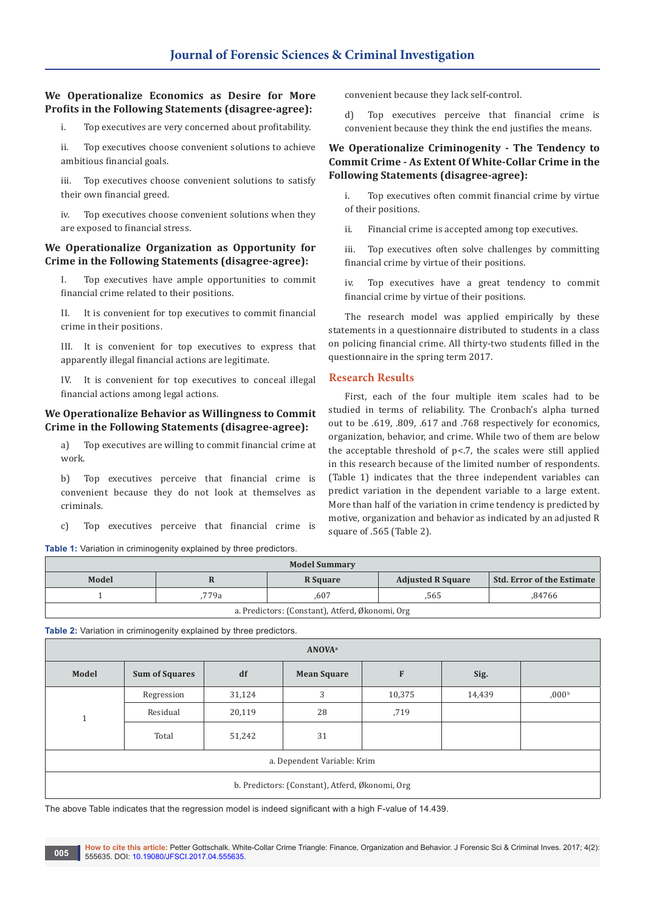# **We Operationalize Economics as Desire for More Profits in the Following Statements (disagree-agree):**

i. Top executives are very concerned about profitability.

ii. Top executives choose convenient solutions to achieve ambitious financial goals.

iii. Top executives choose convenient solutions to satisfy their own financial greed.

iv. Top executives choose convenient solutions when they are exposed to financial stress.

#### **We Operationalize Organization as Opportunity for Crime in the Following Statements (disagree-agree):**

Top executives have ample opportunities to commit financial crime related to their positions.

II. It is convenient for top executives to commit financial crime in their positions.

III. It is convenient for top executives to express that apparently illegal financial actions are legitimate.

IV. It is convenient for top executives to conceal illegal financial actions among legal actions.

#### **We Operationalize Behavior as Willingness to Commit Crime in the Following Statements (disagree-agree):**

a) Top executives are willing to commit financial crime at work.

b) Top executives perceive that financial crime is convenient because they do not look at themselves as criminals.

c) Top executives perceive that financial crime is

**Table 1:** Variation in criminogenity explained by three predictors.

convenient because they lack self-control.

d) Top executives perceive that financial crime is convenient because they think the end justifies the means.

# **We Operationalize Criminogenity - The Tendency to Commit Crime - As Extent Of White-Collar Crime in the Following Statements (disagree-agree):**

i. Top executives often commit financial crime by virtue of their positions.

ii. Financial crime is accepted among top executives.

iii. Top executives often solve challenges by committing financial crime by virtue of their positions.

iv. Top executives have a great tendency to commit financial crime by virtue of their positions.

The research model was applied empirically by these statements in a questionnaire distributed to students in a class on policing financial crime. All thirty-two students filled in the questionnaire in the spring term 2017.

# **Research Results**

First, each of the four multiple item scales had to be studied in terms of reliability. The Cronbach's alpha turned out to be .619, .809, .617 and .768 respectively for economics, organization, behavior, and crime. While two of them are below the acceptable threshold of  $p$ <.7, the scales were still applied in this research because of the limited number of respondents. (Table 1) indicates that the three independent variables can predict variation in the dependent variable to a large extent. More than half of the variation in crime tendency is predicted by motive, organization and behavior as indicated by an adjusted R square of .565 (Table 2).

| <b>Model Summary</b>                            |       |          |                          |                                   |  |  |  |
|-------------------------------------------------|-------|----------|--------------------------|-----------------------------------|--|--|--|
| Model                                           |       | R Square | <b>Adjusted R Square</b> | <b>Std. Error of the Estimate</b> |  |  |  |
|                                                 | .779a | .607     | .565                     | .84766                            |  |  |  |
| a. Predictors: (Constant), Atferd, Økonomi, Org |       |          |                          |                                   |  |  |  |

**Table 2:** Variation in criminogenity explained by three predictors.

| <b>ANOVA</b> <sup>a</sup>                       |                       |        |                    |        |        |                   |  |  |
|-------------------------------------------------|-----------------------|--------|--------------------|--------|--------|-------------------|--|--|
| Model                                           | <b>Sum of Squares</b> | df     | <b>Mean Square</b> | F      | Sig.   |                   |  |  |
|                                                 | Regression            | 31,124 | 3                  | 10,375 | 14,439 | 0.00 <sup>b</sup> |  |  |
|                                                 | Residual              | 20,119 | 28                 | ,719   |        |                   |  |  |
|                                                 | Total                 | 51,242 | 31                 |        |        |                   |  |  |
| a. Dependent Variable: Krim                     |                       |        |                    |        |        |                   |  |  |
| b. Predictors: (Constant), Atferd, Økonomi, Org |                       |        |                    |        |        |                   |  |  |

The above Table indicates that the regression model is indeed significant with a high F-value of 14.439.

**How to cite this article:** Petter Gottschalk. White-Collar Crime Triangle: Finance, Organization and Behavior. J Forensic Sci & Criminal Inves. 2017; 4(2): 555635. DOI: [10.19080/JFSCI.2017.04.5556](http://dx.doi.org/10.19080/JFSCI.2017.04.555635)35. **005**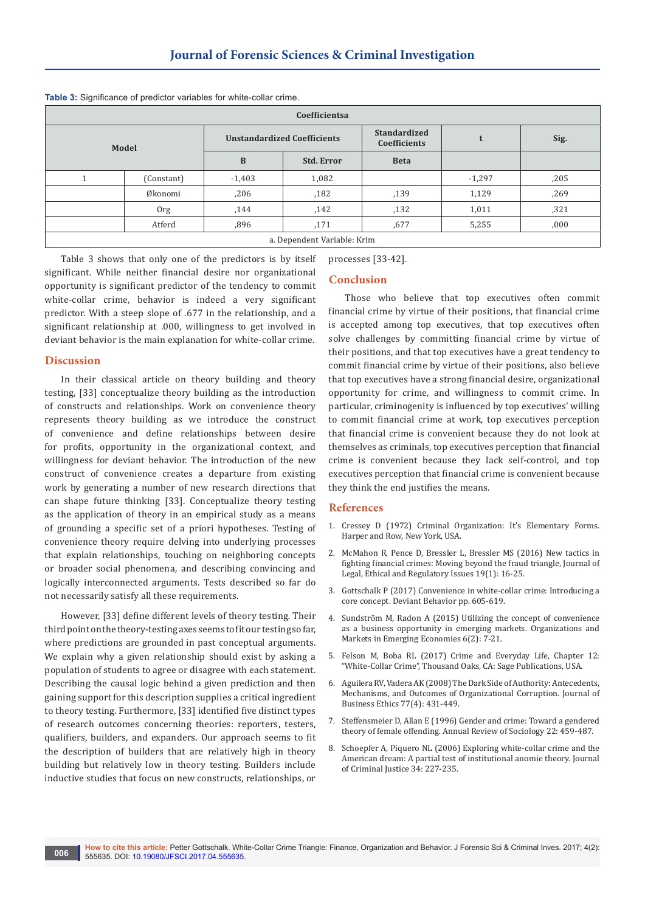| Coefficientsa               |            |                                    |                   |                                     |          |      |  |  |
|-----------------------------|------------|------------------------------------|-------------------|-------------------------------------|----------|------|--|--|
| Model                       |            | <b>Unstandardized Coefficients</b> |                   | <b>Standardized</b><br>Coefficients |          | Sig. |  |  |
|                             |            | B                                  | <b>Std. Error</b> | <b>Beta</b>                         |          |      |  |  |
|                             | (Constant) | $-1,403$                           | 1,082             |                                     | $-1,297$ | ,205 |  |  |
|                             | Økonomi    | ,206                               | ,182              | ,139                                | 1,129    | ,269 |  |  |
|                             | 0rg        | ,144                               | ,142              | ,132                                | 1,011    | ,321 |  |  |
|                             | Atferd     | ,896                               | ,171              | ,677                                | 5,255    | ,000 |  |  |
| a. Dependent Variable: Krim |            |                                    |                   |                                     |          |      |  |  |

**Table 3:** Significance of predictor variables for white-collar crime.

Table 3 shows that only one of the predictors is by itself significant. While neither financial desire nor organizational opportunity is significant predictor of the tendency to commit white-collar crime, behavior is indeed a very significant predictor. With a steep slope of .677 in the relationship, and a significant relationship at .000, willingness to get involved in deviant behavior is the main explanation for white-collar crime.

#### **Discussion**

In their classical article on theory building and theory testing, [33] conceptualize theory building as the introduction of constructs and relationships. Work on convenience theory represents theory building as we introduce the construct of convenience and define relationships between desire for profits, opportunity in the organizational context, and willingness for deviant behavior. The introduction of the new construct of convenience creates a departure from existing work by generating a number of new research directions that can shape future thinking [33]. Conceptualize theory testing as the application of theory in an empirical study as a means of grounding a specific set of a priori hypotheses. Testing of convenience theory require delving into underlying processes that explain relationships, touching on neighboring concepts or broader social phenomena, and describing convincing and logically interconnected arguments. Tests described so far do not necessarily satisfy all these requirements.

However, [33] define different levels of theory testing. Their third point on the theory-testing axes seems to fit our testing so far, where predictions are grounded in past conceptual arguments. We explain why a given relationship should exist by asking a population of students to agree or disagree with each statement. Describing the causal logic behind a given prediction and then gaining support for this description supplies a critical ingredient to theory testing. Furthermore, [33] identified five distinct types of research outcomes concerning theories: reporters, testers, qualifiers, builders, and expanders. Our approach seems to fit the description of builders that are relatively high in theory building but relatively low in theory testing. Builders include inductive studies that focus on new constructs, relationships, or

processes [33-42].

# **Conclusion**

Those who believe that top executives often commit financial crime by virtue of their positions, that financial crime is accepted among top executives, that top executives often solve challenges by committing financial crime by virtue of their positions, and that top executives have a great tendency to commit financial crime by virtue of their positions, also believe that top executives have a strong financial desire, organizational opportunity for crime, and willingness to commit crime. In particular, criminogenity is influenced by top executives' willing to commit financial crime at work, top executives perception that financial crime is convenient because they do not look at themselves as criminals, top executives perception that financial crime is convenient because they lack self-control, and top executives perception that financial crime is convenient because they think the end justifies the means.

#### **References**

- 1. Cressey D (1972) Criminal Organization: It's Elementary Forms. Harper and Row, New York, USA.
- 2. [McMahon R, Pence D, Bressler L, Bressler MS \(2016\) New tactics in](https://www.questia.com/library/journal/1G1-459230043/new-tactics-in-fighting-financial-crimes-moving-beyond)  [fighting financial crimes: Moving beyond the fraud triangle, Journal of](https://www.questia.com/library/journal/1G1-459230043/new-tactics-in-fighting-financial-crimes-moving-beyond)  [Legal, Ethical and Regulatory Issues 19\(1\): 16-25.](https://www.questia.com/library/journal/1G1-459230043/new-tactics-in-fighting-financial-crimes-moving-beyond)
- 3. [Gottschalk P \(2017\) Convenience in white-collar crime: Introducing a](http://www.tandfonline.com/doi/abs/10.1080/01639625.2016.1197585?journalCode=udbh20)  [core concept. Deviant Behavior pp. 605-619.](http://www.tandfonline.com/doi/abs/10.1080/01639625.2016.1197585?journalCode=udbh20)
- 4. Sundströ[m M, Radon A \(2015\) Utilizing the concept of convenience](http://econpapers.repec.org/article/vulomefvu/v_3a6_3ay_3a2015_3ai_3a2_3aid_3a192.htm)  [as a business opportunity in emerging markets. Organizations and](http://econpapers.repec.org/article/vulomefvu/v_3a6_3ay_3a2015_3ai_3a2_3aid_3a192.htm)  [Markets in Emerging Economies 6\(2\): 7-21.](http://econpapers.repec.org/article/vulomefvu/v_3a6_3ay_3a2015_3ai_3a2_3aid_3a192.htm)
- 5. [Felson M, Boba RL \(2017\) Crime and Everyday Life, Chapter 12:](https://us.sagepub.com/en-us/nam/crime-and-everyday-life/book244024)  ["White-Collar Crime", Thousand Oaks, CA: Sage Publications, USA.](https://us.sagepub.com/en-us/nam/crime-and-everyday-life/book244024)
- 6. [Aguilera RV, Vadera AK \(2008\) The Dark Side of Authority: Antecedents,](https://link.springer.com/article/10.1007/s10551-007-9358-8)  [Mechanisms, and Outcomes of Organizational Corruption. Journal of](https://link.springer.com/article/10.1007/s10551-007-9358-8)  [Business Ethics 77\(4\): 431-449.](https://link.springer.com/article/10.1007/s10551-007-9358-8)
- 7. [Steffensmeier D, Allan E \(1996\) Gender and crime: Toward a gendered](https://www.researchgate.net/publication/234838484_Gender_and_Crime_Toward_a_Gendered_Theory_of_Female_Offending)  [theory of female offending. Annual Review of Sociology 22: 459-487.](https://www.researchgate.net/publication/234838484_Gender_and_Crime_Toward_a_Gendered_Theory_of_Female_Offending)
- 8. [Schoepfer A, Piquero NL \(2006\) Exploring white-collar crime and the](http://www.sciencedirect.com/science/article/pii/S0047235206000316)  [American dream: A partial test of institutional anomie theory. Journal](http://www.sciencedirect.com/science/article/pii/S0047235206000316)  [of Criminal Justice 34: 227-235.](http://www.sciencedirect.com/science/article/pii/S0047235206000316)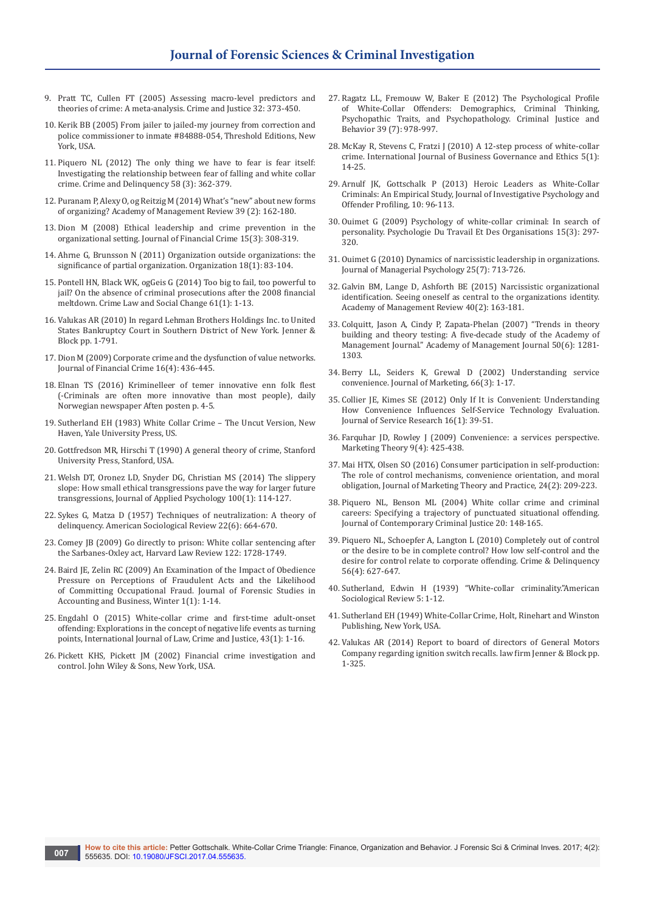- 9. [Pratt TC, Cullen FT \(2005\) Assessing macro-level predictors and](http://www.journals.uchicago.edu/doi/abs/10.1086/655357)  [theories of crime: A meta-analysis. Crime and Justice 32: 373-450.](http://www.journals.uchicago.edu/doi/abs/10.1086/655357)
- 10. Kerik BB (2005) From jailer to jailed-my journey from correction and police commissioner to inmate #84888-054, Threshold Editions, New York, USA.
- 11. [Piquero NL \(2012\) The only thing we have to fear is fear itself:](http://journals.sagepub.com/doi/abs/10.1177/0011128711405005?journalCode=cadc)  [Investigating the relationship between fear of falling and white collar](http://journals.sagepub.com/doi/abs/10.1177/0011128711405005?journalCode=cadc)  [crime. Crime and Delinquency 58 \(3\): 362-379.](http://journals.sagepub.com/doi/abs/10.1177/0011128711405005?journalCode=cadc)
- 12. [Puranam P, Alexy O, og Reitzig M \(2014\) What's "new" about new forms](http://amr.aom.org/content/39/2/162)  [of organizing? Academy of Management Review 39 \(2\): 162-180.](http://amr.aom.org/content/39/2/162)
- 13. Dion M (2008) Ethical leadership and crime prevention in the organizational setting. Journal of Financial Crime 15(3): 308-319.
- 14. [Ahrne G, Brunsson N \(2011\) Organization outside organizations: the](http://journals.sagepub.com/doi/abs/10.1177/1350508410376256)  [significance of partial organization. Organization 18\(1\): 83-104.](http://journals.sagepub.com/doi/abs/10.1177/1350508410376256)
- 15. [Pontell HN, Black WK, ogGeis G \(2014\) Too big to fail, too powerful to](https://link.springer.com/article/10.1007/s10611-013-9476-4)  [jail? On the absence of criminal prosecutions after the 2008 financial](https://link.springer.com/article/10.1007/s10611-013-9476-4)  [meltdown. Crime Law and Social Change 61\(1\): 1-13.](https://link.springer.com/article/10.1007/s10611-013-9476-4)
- 16. [Valukas AR \(2010\) In regard Lehman Brothers Holdings Inc. to United](https://www.bancodesio.it/documenti/vari/lehman/Lehman-debtors_disclosure_statement_third_amended_joint_chapter11_plan.pdf)  [States Bankruptcy Court in Southern District of New York. Jenner &](https://www.bancodesio.it/documenti/vari/lehman/Lehman-debtors_disclosure_statement_third_amended_joint_chapter11_plan.pdf)  [Block pp. 1-791.](https://www.bancodesio.it/documenti/vari/lehman/Lehman-debtors_disclosure_statement_third_amended_joint_chapter11_plan.pdf)
- 17. [Dion M \(2009\) Corporate crime and the dysfunction of value networks.](http://www.emeraldinsight.com/doi/abs/10.1108/13590790910993726?journalCode=jfc)  [Journal of Financial Crime 16\(4\): 436-445.](http://www.emeraldinsight.com/doi/abs/10.1108/13590790910993726?journalCode=jfc)
- 18. [Elnan TS \(2016\) Kriminelleer of temer innovative enn folk flest](https://www.ft.com/content/8e6ef6b8-515a-11e7-bfb8-997009366969)  [\(-Criminals are often more innovative than most people\), daily](https://www.ft.com/content/8e6ef6b8-515a-11e7-bfb8-997009366969)  [Norwegian newspaper Aften posten p. 4-5.](https://www.ft.com/content/8e6ef6b8-515a-11e7-bfb8-997009366969)
- 19. Sutherland EH (1983) White Collar Crime The Uncut Version, New Haven, Yale University Press, US.
- 20. [Gottfredson MR, Hirschi T \(1990\) A general theory of crime, Stanford](http://criminology.wikia.com/wiki/General_Theory_of_Crime)  [University Press, Stanford, USA.](http://criminology.wikia.com/wiki/General_Theory_of_Crime)
- 21. [Welsh DT, Oronez LD, Snyder DG, Christian MS \(2014\) The slippery](https://www.ncbi.nlm.nih.gov/pubmed/24865577)  [slope: How small ethical transgressions pave the way for larger future](https://www.ncbi.nlm.nih.gov/pubmed/24865577)  [transgressions, Journal of Applied Psychology 100\(1\): 114-127.](https://www.ncbi.nlm.nih.gov/pubmed/24865577)
- 22. [Sykes G, Matza D \(1957\) Techniques of neutralization: A theory of](https://www.jstor.org/stable/2089195)  [delinquency. American Sociological Review 22\(6\): 664-670.](https://www.jstor.org/stable/2089195)
- 23. [Comey JB \(2009\) Go directly to prison: White collar sentencing after](https://harvardlawreview.org/wp-content/uploads/pdfs/GEdAssistantwebsite,_newVolume_1226_April_PDFsnoteswhite_collar_sentencing.pdf)  [the Sarbanes-Oxley act, Harvard Law Review 122: 1728-1749.](https://harvardlawreview.org/wp-content/uploads/pdfs/GEdAssistantwebsite,_newVolume_1226_April_PDFsnoteswhite_collar_sentencing.pdf)
- 24. [Baird JE, Zelin RC \(2009\) An Examination of the Impact of Obedience](http://web.b.ebscohost.com/abstract?direct=true&profile=ehost&scope=site&authtype=crawler&jrnl=19429053&AN=45462467&h=jwXZ%2fUhQcmveSiINyUvUr%2b4BN82jFN3PhOUh7blReEMd0Nytg2ovdD6UurAK2ZWYrrJ90rUwCc%2bMyKoSWHbVxQ%3d%3d&crl=c&resultNs=AdminWebAuth&resultLocal)  [Pressure on Perceptions of Fraudulent Acts and the Likelihood](http://web.b.ebscohost.com/abstract?direct=true&profile=ehost&scope=site&authtype=crawler&jrnl=19429053&AN=45462467&h=jwXZ%2fUhQcmveSiINyUvUr%2b4BN82jFN3PhOUh7blReEMd0Nytg2ovdD6UurAK2ZWYrrJ90rUwCc%2bMyKoSWHbVxQ%3d%3d&crl=c&resultNs=AdminWebAuth&resultLocal)  [of Committing Occupational Fraud. Journal of Forensic Studies in](http://web.b.ebscohost.com/abstract?direct=true&profile=ehost&scope=site&authtype=crawler&jrnl=19429053&AN=45462467&h=jwXZ%2fUhQcmveSiINyUvUr%2b4BN82jFN3PhOUh7blReEMd0Nytg2ovdD6UurAK2ZWYrrJ90rUwCc%2bMyKoSWHbVxQ%3d%3d&crl=c&resultNs=AdminWebAuth&resultLocal)  [Accounting and Business, Winter 1\(1\): 1-14.](http://web.b.ebscohost.com/abstract?direct=true&profile=ehost&scope=site&authtype=crawler&jrnl=19429053&AN=45462467&h=jwXZ%2fUhQcmveSiINyUvUr%2b4BN82jFN3PhOUh7blReEMd0Nytg2ovdD6UurAK2ZWYrrJ90rUwCc%2bMyKoSWHbVxQ%3d%3d&crl=c&resultNs=AdminWebAuth&resultLocal)
- 25. [Engdahl O \(2015\) White-collar crime and first-time adult-onset](https://www.homeworkmarket.com/sites/default/files/qx/15/02/25/01/journal_1.pdf)  [offending: Explorations in the concept of negative life events as turning](https://www.homeworkmarket.com/sites/default/files/qx/15/02/25/01/journal_1.pdf)  [points, International Journal of Law, Crime and Justice, 43\(1\): 1-16.](https://www.homeworkmarket.com/sites/default/files/qx/15/02/25/01/journal_1.pdf)
- 26. [Pickett KHS, Pickett JM \(2002\) Financial crime investigation and](http://as.wiley.com/WileyCDA/WileyTitle/productCd-0471203351.html)  [control. John Wiley & Sons, New York, USA.](http://as.wiley.com/WileyCDA/WileyTitle/productCd-0471203351.html)
- 27. [Ragatz LL, Fremouw W, Baker E \(2012\) The Psychological Profile](http://journals.sagepub.com/doi/abs/10.1177/0093854812437846)  [of White-Collar Offenders: Demographics, Criminal Thinking,](http://journals.sagepub.com/doi/abs/10.1177/0093854812437846)  [Psychopathic Traits, and Psychopathology. Criminal Justice and](http://journals.sagepub.com/doi/abs/10.1177/0093854812437846)  [Behavior 39 \(7\): 978-997.](http://journals.sagepub.com/doi/abs/10.1177/0093854812437846)
- 28. [McKay R, Stevens C, Fratzi J \(2010\) A 12-step process of white-collar](http://www.inderscienceonline.com/doi/abs/10.1504/IJBGE.2010.029552)  [crime. International Journal of Business Governance and Ethics 5\(1\):](http://www.inderscienceonline.com/doi/abs/10.1504/IJBGE.2010.029552)  [14-25.](http://www.inderscienceonline.com/doi/abs/10.1504/IJBGE.2010.029552)
- 29. [Arnulf JK, Gottschalk P \(2013\) Heroic Leaders as White-Collar](http://onlinelibrary.wiley.com/doi/10.1002/jip.1370/abstract)  [Criminals: An Empirical Study, Journal of Investigative Psychology and](http://onlinelibrary.wiley.com/doi/10.1002/jip.1370/abstract)  [Offender Profiling, 10: 96-113.](http://onlinelibrary.wiley.com/doi/10.1002/jip.1370/abstract)
- 30. [Ouimet G \(2009\) Psychology of white-collar criminal: In search of](https://www.researchgate.net/publication/292458144_Psychology_of_white-collar_criminal_In_search_of_personality)  [personality. Psychologie Du Travail Et Des Organisations 15\(3\): 297-](https://www.researchgate.net/publication/292458144_Psychology_of_white-collar_criminal_In_search_of_personality) [320.](https://www.researchgate.net/publication/292458144_Psychology_of_white-collar_criminal_In_search_of_personality)
- 31. [Ouimet G \(2010\) Dynamics of narcissistic leadership in organizations.](http://www.emeraldinsight.com/doi/abs/10.1108/02683941011075265)  [Journal of Managerial Psychology 25\(7\): 713-726.](http://www.emeraldinsight.com/doi/abs/10.1108/02683941011075265)
- 32. [Galvin BM, Lange D, Ashforth BE \(2015\) Narcissistic organizational](https://www.researchgate.net/publication/275657149_Narcissistic_Organizational_Identification_Seeing_Oneself_As_Central_to_the_Organization%27s_Identity)  [identification. Seeing oneself as central to the organizations identity.](https://www.researchgate.net/publication/275657149_Narcissistic_Organizational_Identification_Seeing_Oneself_As_Central_to_the_Organization%27s_Identity)  [Academy of Management Review 40\(2\): 163-181.](https://www.researchgate.net/publication/275657149_Narcissistic_Organizational_Identification_Seeing_Oneself_As_Central_to_the_Organization%27s_Identity)
- 33. [Colquitt, Jason A, Cindy P, Zapata-Phelan \(2007\) "Trends in theory](http://amj.aom.org/content/50/6/1281.abstract)  [building and theory testing: A five-decade study of the Academy of](http://amj.aom.org/content/50/6/1281.abstract)  [Management Journal." Academy of Management Journal 50\(6\): 1281-](http://amj.aom.org/content/50/6/1281.abstract) [1303.](http://amj.aom.org/content/50/6/1281.abstract)
- 34. Berry LL, Seiders K, Grewal D (2002) Understanding service convenience. Journal of Marketing, 66(3): 1-17.
- 35. [Collier JE, Kimes SE \(2012\) Only If It is Convenient: Understanding](http://scholarship.sha.cornell.edu/articles/826/)  [How Convenience Influences Self-Service Technology Evaluation.](http://scholarship.sha.cornell.edu/articles/826/)  [Journal of Service Research 16\(1\): 39-51.](http://scholarship.sha.cornell.edu/articles/826/)
- 36. [Farquhar JD, Rowley J \(2009\) Convenience: a services perspective.](http://journals.sagepub.com/doi/abs/10.1177/1470593109346894?journalCode=mtqa)  [Marketing Theory 9\(4\): 425-438.](http://journals.sagepub.com/doi/abs/10.1177/1470593109346894?journalCode=mtqa)
- 37. [Mai HTX, Olsen SO \(2016\) Consumer participation in self-production:](http://www.tandfonline.com/doi/abs/10.1080/10696679.2016.1130554?journalCode=mmtp20)  [The role of control mechanisms, convenience orientation, and moral](http://www.tandfonline.com/doi/abs/10.1080/10696679.2016.1130554?journalCode=mmtp20)  [obligation, Journal of Marketing Theory and Practice, 24\(2\): 209-223.](http://www.tandfonline.com/doi/abs/10.1080/10696679.2016.1130554?journalCode=mmtp20)
- 38. [Piquero NL, Benson ML \(2004\) White collar crime and criminal](http://journals.sagepub.com/doi/abs/10.1177/1043986204263770)  [careers: Specifying a trajectory of punctuated situational offending.](http://journals.sagepub.com/doi/abs/10.1177/1043986204263770)  [Journal of Contemporary Criminal Justice 20: 148-165.](http://journals.sagepub.com/doi/abs/10.1177/1043986204263770)
- 39. [Piquero NL, Schoepfer A, Langton L \(2010\) Completely out of control](http://journals.sagepub.com/doi/abs/10.1177/0011128708325052?journalCode=cadc)  [or the desire to be in complete control? How low self-control and the](http://journals.sagepub.com/doi/abs/10.1177/0011128708325052?journalCode=cadc)  [desire for control relate to corporate offending. Crime & Delinquency](http://journals.sagepub.com/doi/abs/10.1177/0011128708325052?journalCode=cadc)  [56\(4\): 627-647.](http://journals.sagepub.com/doi/abs/10.1177/0011128708325052?journalCode=cadc)
- 40. Sutherland, Edwin H (1939) "White-collar criminality."American Sociological Review 5: 1-12.
- 41. Sutherland EH (1949) White-Collar Crime, Holt, Rinehart and Winston Publishing, New York, USA.
- 42. [Valukas AR \(2014\) Report to board of directors of General Motors](http://www.beasleyallen.com/webfiles/valukas-report-on-gm-redacted.pdf)  [Company regarding ignition switch recalls. law firm Jenner & Block pp.](http://www.beasleyallen.com/webfiles/valukas-report-on-gm-redacted.pdf)  [1-325.](http://www.beasleyallen.com/webfiles/valukas-report-on-gm-redacted.pdf)